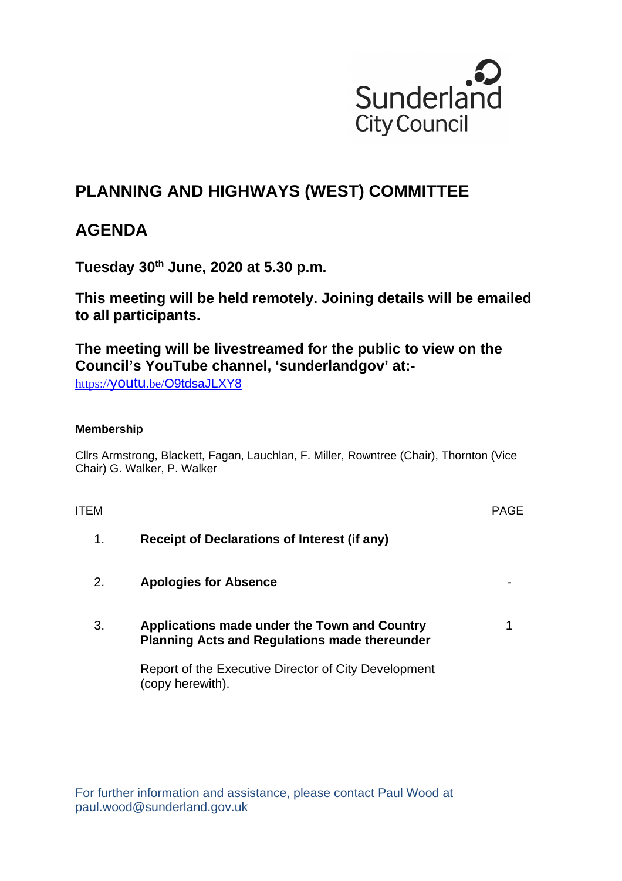

# **PLANNING AND HIGHWAYS (WEST) COMMITTEE**

# **AGENDA**

**Tuesday 30th June, 2020 at 5.30 p.m.** 

**This meeting will be held remotely. Joining details will be emailed to all participants.** 

**The meeting will be livestreamed for the public to view on the Council's YouTube channel, 'sunderlandgov' at:** https://youtu.be/O9tdsaJLXY8

#### **Membership**

Cllrs Armstrong, Blackett, Fagan, Lauchlan, F. Miller, Rowntree (Chair), Thornton (Vice Chair) G. Walker, P. Walker

ITEM PAGE

- 1. **Receipt of Declarations of Interest (if any)**
- 2. **Apologies for Absence** -
- 3. **Applications made under the Town and Country Planning Acts and Regulations made thereunder**

1

Report of the Executive Director of City Development (copy herewith).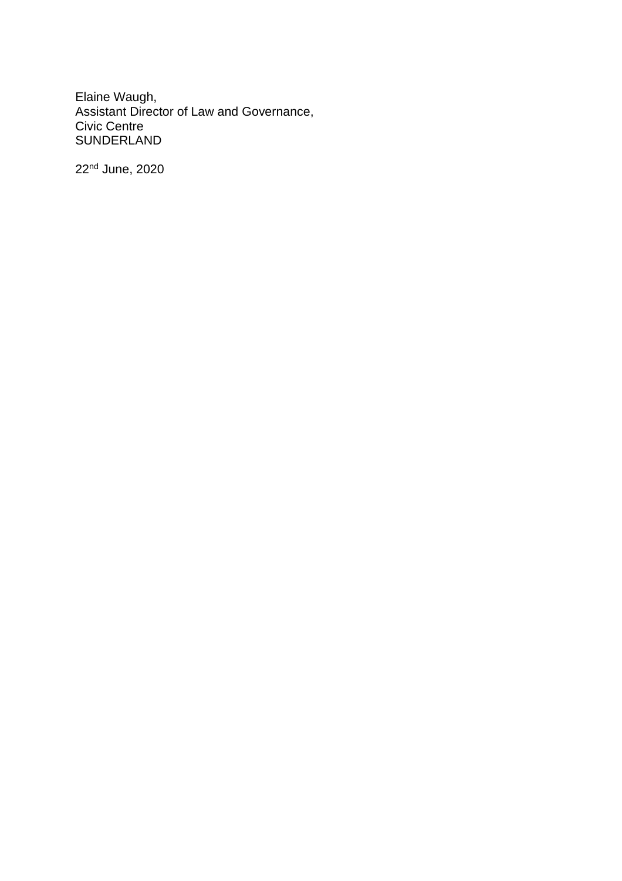Elaine Waugh, Assistant Director of Law and Governance, Civic Centre SUNDERLAND

22nd June, 2020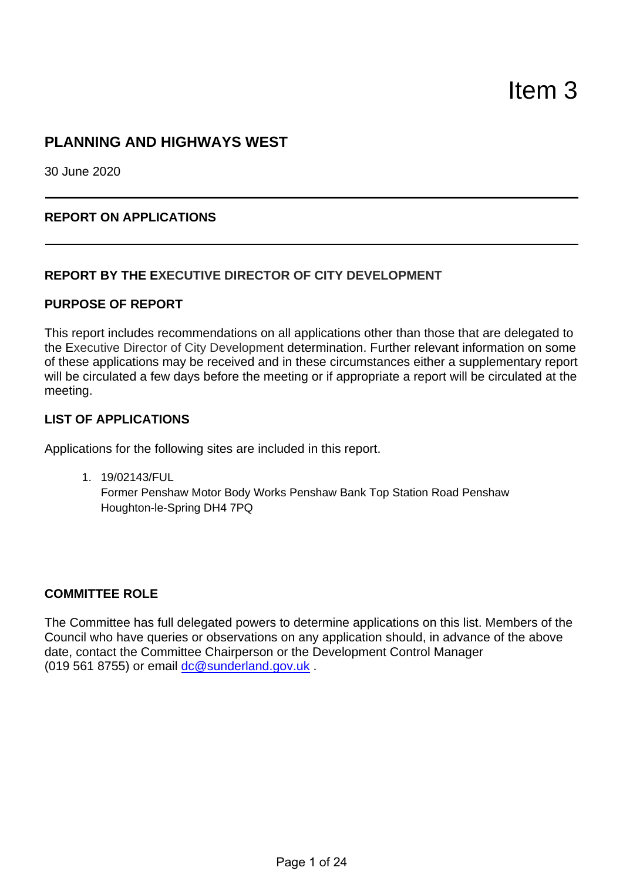Item 3

## **PLANNING AND HIGHWAYS WEST**

30 June 2020

#### **REPORT ON APPLICATIONS**

#### **REPORT BY THE EXECUTIVE DIRECTOR OF CITY DEVELOPMENT**

#### **PURPOSE OF REPORT**

This report includes recommendations on all applications other than those that are delegated to the Executive Director of City Development determination. Further relevant information on some of these applications may be received and in these circumstances either a supplementary report will be circulated a few days before the meeting or if appropriate a report will be circulated at the meeting.

#### **LIST OF APPLICATIONS**

Applications for the following sites are included in this report.

1. 19/02143/FUL Former Penshaw Motor Body Works Penshaw Bank Top Station Road Penshaw Houghton-le-Spring DH4 7PQ

#### **COMMITTEE ROLE**

The Committee has full delegated powers to determine applications on this list. Members of the Council who have queries or observations on any application should, in advance of the above date, contact the Committee Chairperson or the Development Control Manager (019 561 8755) or email dc@sunderland.gov.uk .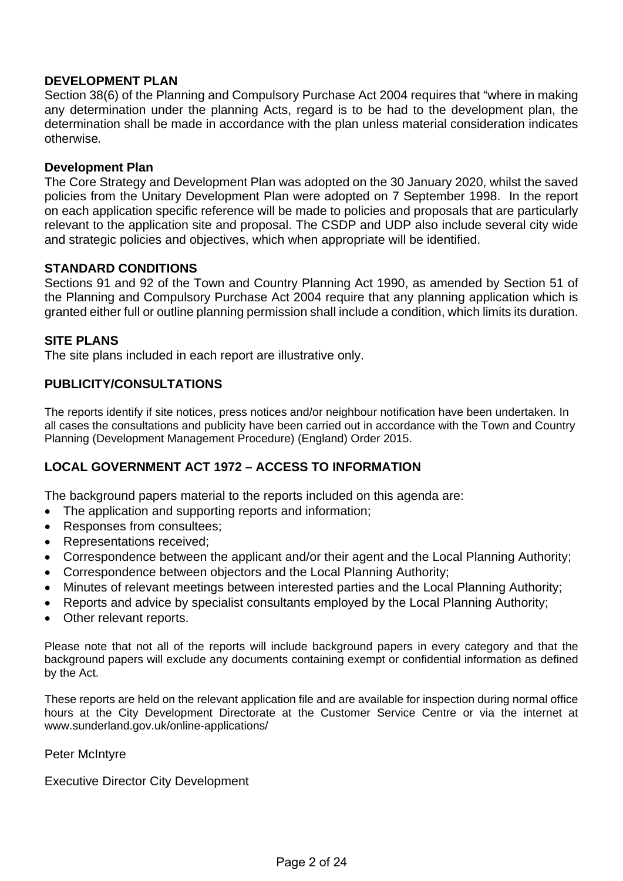#### **DEVELOPMENT PLAN**

Section 38(6) of the Planning and Compulsory Purchase Act 2004 requires that "where in making any determination under the planning Acts, regard is to be had to the development plan, the determination shall be made in accordance with the plan unless material consideration indicates otherwise*.* 

#### **Development Plan**

The Core Strategy and Development Plan was adopted on the 30 January 2020, whilst the saved policies from the Unitary Development Plan were adopted on 7 September 1998. In the report on each application specific reference will be made to policies and proposals that are particularly relevant to the application site and proposal. The CSDP and UDP also include several city wide and strategic policies and objectives, which when appropriate will be identified.

#### **STANDARD CONDITIONS**

Sections 91 and 92 of the Town and Country Planning Act 1990, as amended by Section 51 of the Planning and Compulsory Purchase Act 2004 require that any planning application which is granted either full or outline planning permission shall include a condition, which limits its duration.

#### **SITE PLANS**

The site plans included in each report are illustrative only.

#### **PUBLICITY/CONSULTATIONS**

The reports identify if site notices, press notices and/or neighbour notification have been undertaken. In all cases the consultations and publicity have been carried out in accordance with the Town and Country Planning (Development Management Procedure) (England) Order 2015.

#### **LOCAL GOVERNMENT ACT 1972 – ACCESS TO INFORMATION**

The background papers material to the reports included on this agenda are:

- The application and supporting reports and information;
- Responses from consultees;
- Representations received;
- Correspondence between the applicant and/or their agent and the Local Planning Authority;
- Correspondence between objectors and the Local Planning Authority;
- Minutes of relevant meetings between interested parties and the Local Planning Authority;
- Reports and advice by specialist consultants employed by the Local Planning Authority;
- Other relevant reports.

Please note that not all of the reports will include background papers in every category and that the background papers will exclude any documents containing exempt or confidential information as defined by the Act.

These reports are held on the relevant application file and are available for inspection during normal office hours at the City Development Directorate at the Customer Service Centre or via the internet at www.sunderland.gov.uk/online-applications/

Peter McIntyre

Executive Director City Development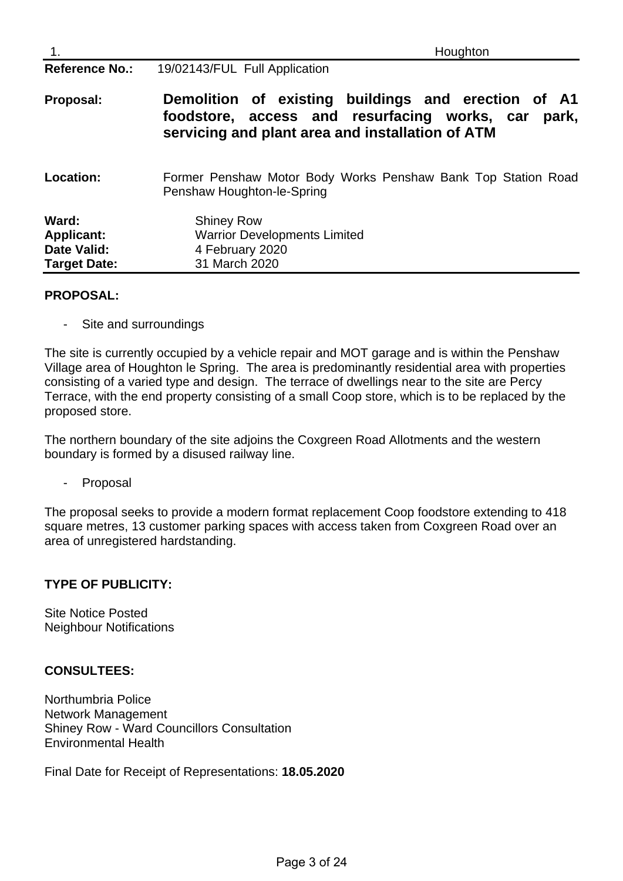|                                                                         | Houghton                                                                                                                                                         |
|-------------------------------------------------------------------------|------------------------------------------------------------------------------------------------------------------------------------------------------------------|
| <b>Reference No.:</b>                                                   | 19/02143/FUL Full Application                                                                                                                                    |
| Proposal:                                                               | Demolition of existing buildings and erection of A1<br>foodstore, access and resurfacing works, car<br>park.<br>servicing and plant area and installation of ATM |
| Location:                                                               | Former Penshaw Motor Body Works Penshaw Bank Top Station Road<br>Penshaw Houghton-le-Spring                                                                      |
| Ward:<br><b>Applicant:</b><br><b>Date Valid:</b><br><b>Target Date:</b> | <b>Shiney Row</b><br><b>Warrior Developments Limited</b><br>4 February 2020<br>31 March 2020                                                                     |

#### **PROPOSAL:**

- Site and surroundings

The site is currently occupied by a vehicle repair and MOT garage and is within the Penshaw Village area of Houghton le Spring. The area is predominantly residential area with properties consisting of a varied type and design. The terrace of dwellings near to the site are Percy Terrace, with the end property consisting of a small Coop store, which is to be replaced by the proposed store.

The northern boundary of the site adjoins the Coxgreen Road Allotments and the western boundary is formed by a disused railway line.

- Proposal

The proposal seeks to provide a modern format replacement Coop foodstore extending to 418 square metres, 13 customer parking spaces with access taken from Coxgreen Road over an area of unregistered hardstanding.

#### **TYPE OF PUBLICITY:**

Site Notice Posted Neighbour Notifications

#### **CONSULTEES:**

Northumbria Police Network Management Shiney Row - Ward Councillors Consultation Environmental Health

Final Date for Receipt of Representations: **18.05.2020**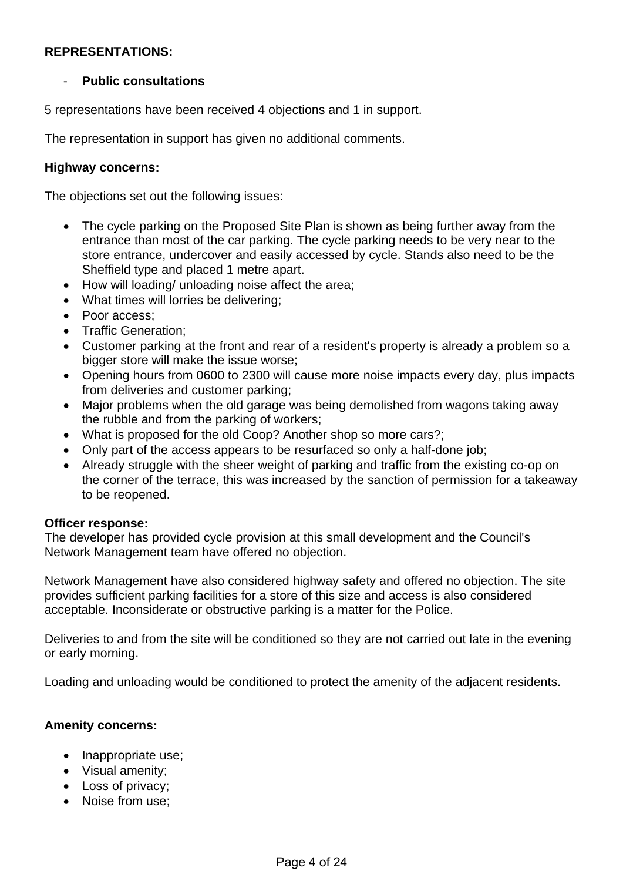#### **REPRESENTATIONS:**

#### - **Public consultations**

5 representations have been received 4 objections and 1 in support.

The representation in support has given no additional comments.

#### **Highway concerns:**

The objections set out the following issues:

- The cycle parking on the Proposed Site Plan is shown as being further away from the entrance than most of the car parking. The cycle parking needs to be very near to the store entrance, undercover and easily accessed by cycle. Stands also need to be the Sheffield type and placed 1 metre apart.
- How will loading/ unloading noise affect the area;
- What times will lorries be delivering;
- Poor access:
- Traffic Generation:
- Customer parking at the front and rear of a resident's property is already a problem so a bigger store will make the issue worse;
- Opening hours from 0600 to 2300 will cause more noise impacts every day, plus impacts from deliveries and customer parking;
- Major problems when the old garage was being demolished from wagons taking away the rubble and from the parking of workers;
- What is proposed for the old Coop? Another shop so more cars?;
- Only part of the access appears to be resurfaced so only a half-done job;
- Already struggle with the sheer weight of parking and traffic from the existing co-op on the corner of the terrace, this was increased by the sanction of permission for a takeaway to be reopened.

#### **Officer response:**

The developer has provided cycle provision at this small development and the Council's Network Management team have offered no objection.

Network Management have also considered highway safety and offered no objection. The site provides sufficient parking facilities for a store of this size and access is also considered acceptable. Inconsiderate or obstructive parking is a matter for the Police.

Deliveries to and from the site will be conditioned so they are not carried out late in the evening or early morning.

Loading and unloading would be conditioned to protect the amenity of the adjacent residents.

#### **Amenity concerns:**

- Inappropriate use;
- Visual amenity;
- Loss of privacy;
- Noise from use;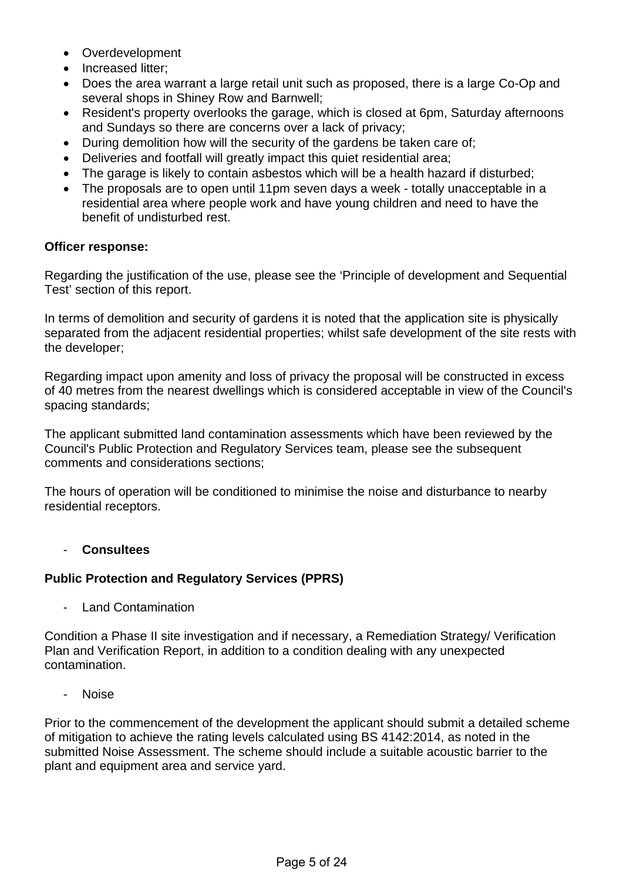- Overdevelopment
- Increased litter:
- Does the area warrant a large retail unit such as proposed, there is a large Co-Op and several shops in Shiney Row and Barnwell;
- Resident's property overlooks the garage, which is closed at 6pm, Saturday afternoons and Sundays so there are concerns over a lack of privacy;
- During demolition how will the security of the gardens be taken care of;
- Deliveries and footfall will greatly impact this quiet residential area;
- The garage is likely to contain asbestos which will be a health hazard if disturbed;
- The proposals are to open until 11pm seven days a week totally unacceptable in a residential area where people work and have young children and need to have the benefit of undisturbed rest.

#### **Officer response:**

Regarding the justification of the use, please see the 'Principle of development and Sequential Test' section of this report.

In terms of demolition and security of gardens it is noted that the application site is physically separated from the adjacent residential properties; whilst safe development of the site rests with the developer;

Regarding impact upon amenity and loss of privacy the proposal will be constructed in excess of 40 metres from the nearest dwellings which is considered acceptable in view of the Council's spacing standards;

The applicant submitted land contamination assessments which have been reviewed by the Council's Public Protection and Regulatory Services team, please see the subsequent comments and considerations sections;

The hours of operation will be conditioned to minimise the noise and disturbance to nearby residential receptors.

### - **Consultees**

#### **Public Protection and Regulatory Services (PPRS)**

- Land Contamination

Condition a Phase II site investigation and if necessary, a Remediation Strategy/ Verification Plan and Verification Report, in addition to a condition dealing with any unexpected contamination.

- Noise

Prior to the commencement of the development the applicant should submit a detailed scheme of mitigation to achieve the rating levels calculated using BS 4142:2014, as noted in the submitted Noise Assessment. The scheme should include a suitable acoustic barrier to the plant and equipment area and service yard.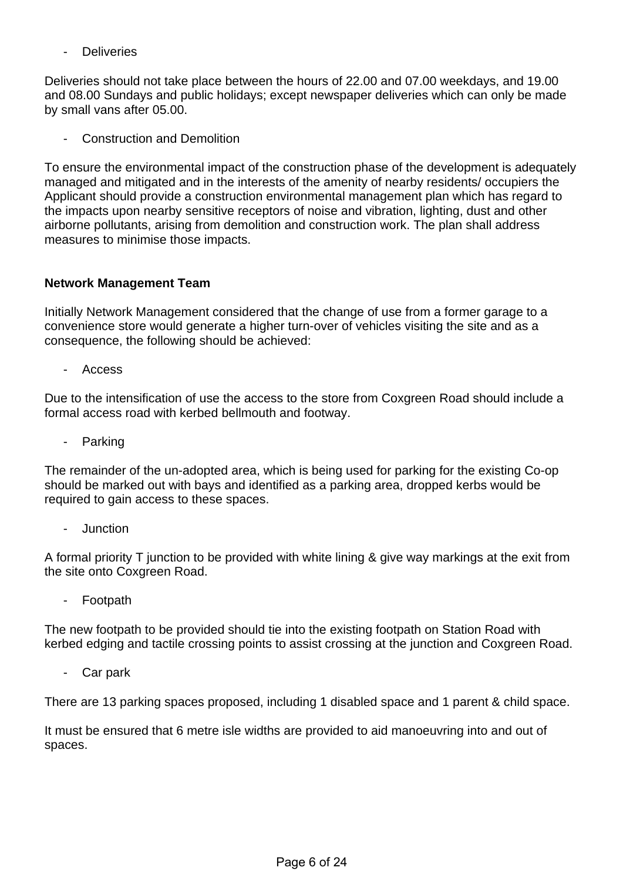**Deliveries** 

Deliveries should not take place between the hours of 22.00 and 07.00 weekdays, and 19.00 and 08.00 Sundays and public holidays; except newspaper deliveries which can only be made by small vans after 05.00.

- Construction and Demolition

To ensure the environmental impact of the construction phase of the development is adequately managed and mitigated and in the interests of the amenity of nearby residents/ occupiers the Applicant should provide a construction environmental management plan which has regard to the impacts upon nearby sensitive receptors of noise and vibration, lighting, dust and other airborne pollutants, arising from demolition and construction work. The plan shall address measures to minimise those impacts.

#### **Network Management Team**

Initially Network Management considered that the change of use from a former garage to a convenience store would generate a higher turn-over of vehicles visiting the site and as a consequence, the following should be achieved:

- Access

Due to the intensification of use the access to the store from Coxgreen Road should include a formal access road with kerbed bellmouth and footway.

- Parking

The remainder of the un-adopted area, which is being used for parking for the existing Co-op should be marked out with bays and identified as a parking area, dropped kerbs would be required to gain access to these spaces.

- Junction

A formal priority T junction to be provided with white lining & give way markings at the exit from the site onto Coxgreen Road.

- Footpath

The new footpath to be provided should tie into the existing footpath on Station Road with kerbed edging and tactile crossing points to assist crossing at the junction and Coxgreen Road.

- Car park

There are 13 parking spaces proposed, including 1 disabled space and 1 parent & child space.

It must be ensured that 6 metre isle widths are provided to aid manoeuvring into and out of spaces.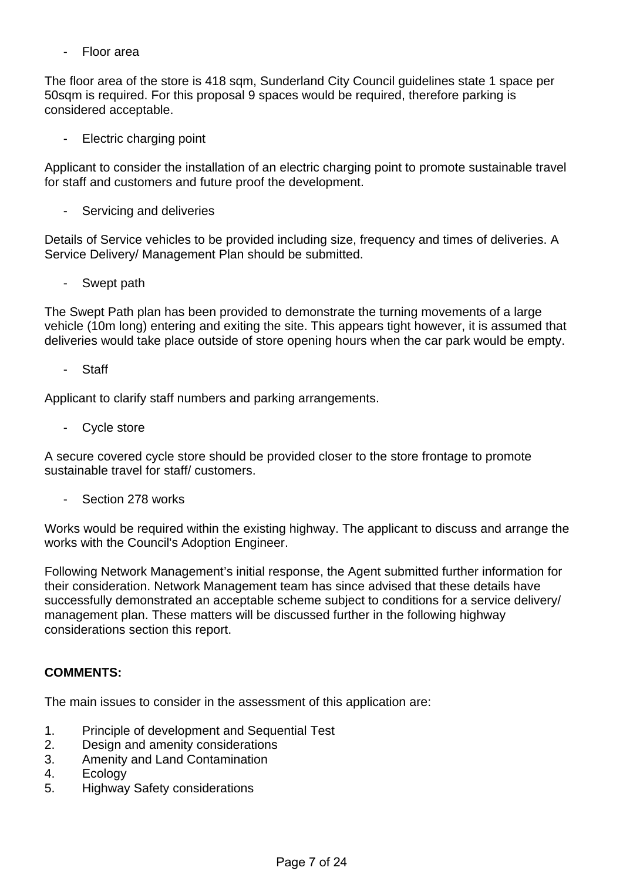Floor area

The floor area of the store is 418 sqm, Sunderland City Council guidelines state 1 space per 50sqm is required. For this proposal 9 spaces would be required, therefore parking is considered acceptable.

Electric charging point

Applicant to consider the installation of an electric charging point to promote sustainable travel for staff and customers and future proof the development.

Servicing and deliveries

Details of Service vehicles to be provided including size, frequency and times of deliveries. A Service Delivery/ Management Plan should be submitted.

Swept path

The Swept Path plan has been provided to demonstrate the turning movements of a large vehicle (10m long) entering and exiting the site. This appears tight however, it is assumed that deliveries would take place outside of store opening hours when the car park would be empty.

**Staff** 

Applicant to clarify staff numbers and parking arrangements.

Cycle store

A secure covered cycle store should be provided closer to the store frontage to promote sustainable travel for staff/ customers.

Section 278 works

Works would be required within the existing highway. The applicant to discuss and arrange the works with the Council's Adoption Engineer.

Following Network Management's initial response, the Agent submitted further information for their consideration. Network Management team has since advised that these details have successfully demonstrated an acceptable scheme subject to conditions for a service delivery/ management plan. These matters will be discussed further in the following highway considerations section this report.

#### **COMMENTS:**

The main issues to consider in the assessment of this application are:

- 1. Principle of development and Sequential Test
- 2. Design and amenity considerations
- 3. Amenity and Land Contamination
- 4. Ecology
- 5. Highway Safety considerations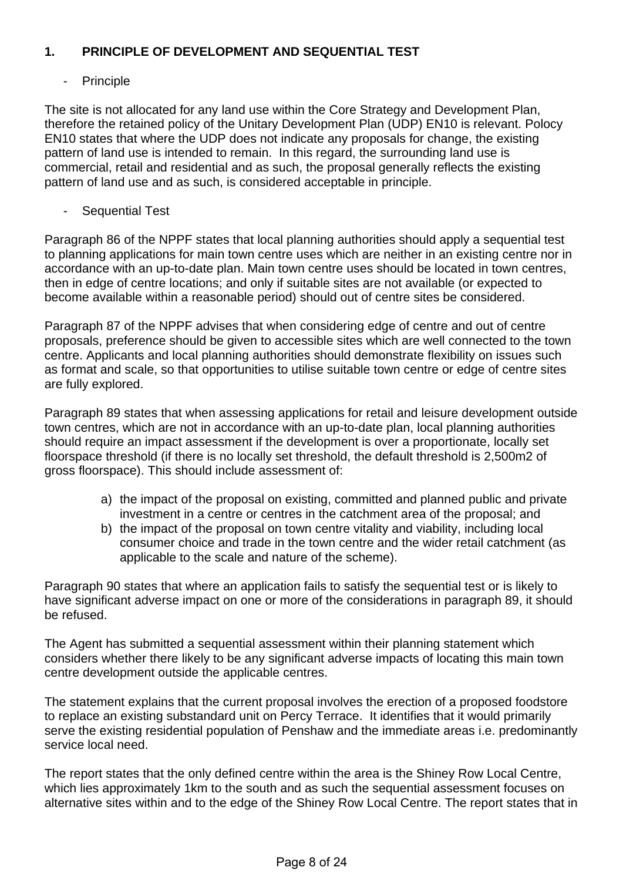## **1. PRINCIPLE OF DEVELOPMENT AND SEQUENTIAL TEST**

## - Principle

The site is not allocated for any land use within the Core Strategy and Development Plan, therefore the retained policy of the Unitary Development Plan (UDP) EN10 is relevant. Polocy EN10 states that where the UDP does not indicate any proposals for change, the existing pattern of land use is intended to remain. In this regard, the surrounding land use is commercial, retail and residential and as such, the proposal generally reflects the existing pattern of land use and as such, is considered acceptable in principle.

Sequential Test

Paragraph 86 of the NPPF states that local planning authorities should apply a sequential test to planning applications for main town centre uses which are neither in an existing centre nor in accordance with an up-to-date plan. Main town centre uses should be located in town centres, then in edge of centre locations; and only if suitable sites are not available (or expected to become available within a reasonable period) should out of centre sites be considered.

Paragraph 87 of the NPPF advises that when considering edge of centre and out of centre proposals, preference should be given to accessible sites which are well connected to the town centre. Applicants and local planning authorities should demonstrate flexibility on issues such as format and scale, so that opportunities to utilise suitable town centre or edge of centre sites are fully explored.

Paragraph 89 states that when assessing applications for retail and leisure development outside town centres, which are not in accordance with an up-to-date plan, local planning authorities should require an impact assessment if the development is over a proportionate, locally set floorspace threshold (if there is no locally set threshold, the default threshold is 2,500m2 of gross floorspace). This should include assessment of:

- a) the impact of the proposal on existing, committed and planned public and private investment in a centre or centres in the catchment area of the proposal; and
- b) the impact of the proposal on town centre vitality and viability, including local consumer choice and trade in the town centre and the wider retail catchment (as applicable to the scale and nature of the scheme).

Paragraph 90 states that where an application fails to satisfy the sequential test or is likely to have significant adverse impact on one or more of the considerations in paragraph 89, it should be refused.

The Agent has submitted a sequential assessment within their planning statement which considers whether there likely to be any significant adverse impacts of locating this main town centre development outside the applicable centres.

The statement explains that the current proposal involves the erection of a proposed foodstore to replace an existing substandard unit on Percy Terrace. It identifies that it would primarily serve the existing residential population of Penshaw and the immediate areas i.e. predominantly service local need.

The report states that the only defined centre within the area is the Shiney Row Local Centre, which lies approximately 1km to the south and as such the sequential assessment focuses on alternative sites within and to the edge of the Shiney Row Local Centre. The report states that in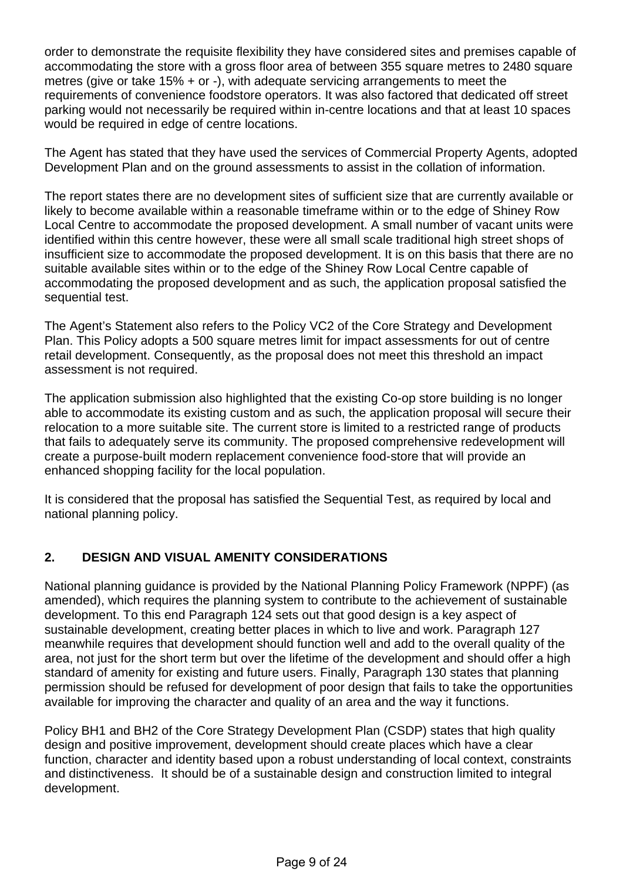order to demonstrate the requisite flexibility they have considered sites and premises capable of accommodating the store with a gross floor area of between 355 square metres to 2480 square metres (give or take 15% + or -), with adequate servicing arrangements to meet the requirements of convenience foodstore operators. It was also factored that dedicated off street parking would not necessarily be required within in-centre locations and that at least 10 spaces would be required in edge of centre locations.

The Agent has stated that they have used the services of Commercial Property Agents, adopted Development Plan and on the ground assessments to assist in the collation of information.

The report states there are no development sites of sufficient size that are currently available or likely to become available within a reasonable timeframe within or to the edge of Shiney Row Local Centre to accommodate the proposed development. A small number of vacant units were identified within this centre however, these were all small scale traditional high street shops of insufficient size to accommodate the proposed development. It is on this basis that there are no suitable available sites within or to the edge of the Shiney Row Local Centre capable of accommodating the proposed development and as such, the application proposal satisfied the sequential test.

The Agent's Statement also refers to the Policy VC2 of the Core Strategy and Development Plan. This Policy adopts a 500 square metres limit for impact assessments for out of centre retail development. Consequently, as the proposal does not meet this threshold an impact assessment is not required.

The application submission also highlighted that the existing Co-op store building is no longer able to accommodate its existing custom and as such, the application proposal will secure their relocation to a more suitable site. The current store is limited to a restricted range of products that fails to adequately serve its community. The proposed comprehensive redevelopment will create a purpose-built modern replacement convenience food-store that will provide an enhanced shopping facility for the local population.

It is considered that the proposal has satisfied the Sequential Test, as required by local and national planning policy.

## **2. DESIGN AND VISUAL AMENITY CONSIDERATIONS**

National planning guidance is provided by the National Planning Policy Framework (NPPF) (as amended), which requires the planning system to contribute to the achievement of sustainable development. To this end Paragraph 124 sets out that good design is a key aspect of sustainable development, creating better places in which to live and work. Paragraph 127 meanwhile requires that development should function well and add to the overall quality of the area, not just for the short term but over the lifetime of the development and should offer a high standard of amenity for existing and future users. Finally, Paragraph 130 states that planning permission should be refused for development of poor design that fails to take the opportunities available for improving the character and quality of an area and the way it functions.

Policy BH1 and BH2 of the Core Strategy Development Plan (CSDP) states that high quality design and positive improvement, development should create places which have a clear function, character and identity based upon a robust understanding of local context, constraints and distinctiveness. It should be of a sustainable design and construction limited to integral development.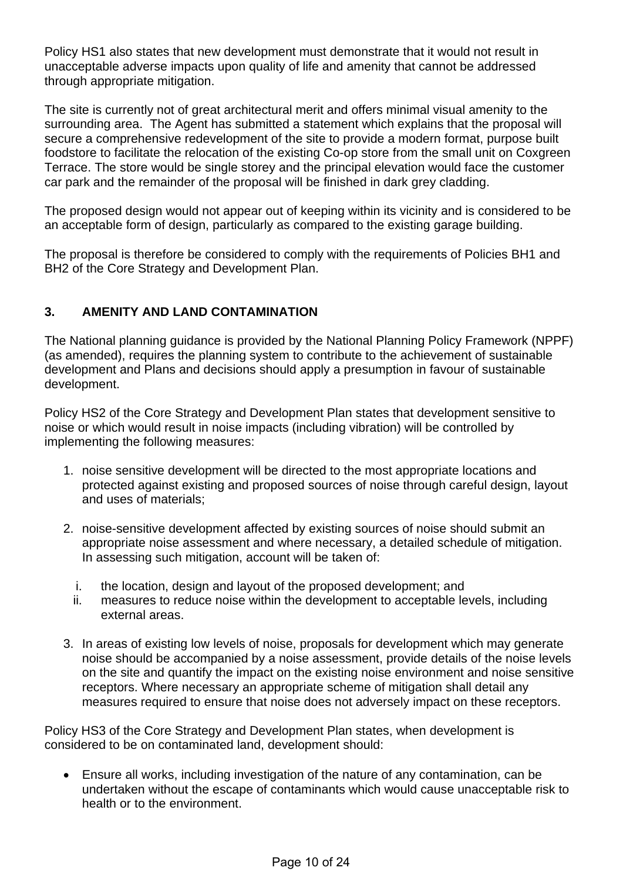Policy HS1 also states that new development must demonstrate that it would not result in unacceptable adverse impacts upon quality of life and amenity that cannot be addressed through appropriate mitigation.

The site is currently not of great architectural merit and offers minimal visual amenity to the surrounding area. The Agent has submitted a statement which explains that the proposal will secure a comprehensive redevelopment of the site to provide a modern format, purpose built foodstore to facilitate the relocation of the existing Co-op store from the small unit on Coxgreen Terrace. The store would be single storey and the principal elevation would face the customer car park and the remainder of the proposal will be finished in dark grey cladding.

The proposed design would not appear out of keeping within its vicinity and is considered to be an acceptable form of design, particularly as compared to the existing garage building.

The proposal is therefore be considered to comply with the requirements of Policies BH1 and BH2 of the Core Strategy and Development Plan.

## **3. AMENITY AND LAND CONTAMINATION**

The National planning guidance is provided by the National Planning Policy Framework (NPPF) (as amended), requires the planning system to contribute to the achievement of sustainable development and Plans and decisions should apply a presumption in favour of sustainable development.

Policy HS2 of the Core Strategy and Development Plan states that development sensitive to noise or which would result in noise impacts (including vibration) will be controlled by implementing the following measures:

- 1. noise sensitive development will be directed to the most appropriate locations and protected against existing and proposed sources of noise through careful design, layout and uses of materials;
- 2. noise-sensitive development affected by existing sources of noise should submit an appropriate noise assessment and where necessary, a detailed schedule of mitigation. In assessing such mitigation, account will be taken of:
	- i. the location, design and layout of the proposed development; and
	- ii. measures to reduce noise within the development to acceptable levels, including external areas.
- 3. In areas of existing low levels of noise, proposals for development which may generate noise should be accompanied by a noise assessment, provide details of the noise levels on the site and quantify the impact on the existing noise environment and noise sensitive receptors. Where necessary an appropriate scheme of mitigation shall detail any measures required to ensure that noise does not adversely impact on these receptors.

Policy HS3 of the Core Strategy and Development Plan states, when development is considered to be on contaminated land, development should:

 Ensure all works, including investigation of the nature of any contamination, can be undertaken without the escape of contaminants which would cause unacceptable risk to health or to the environment.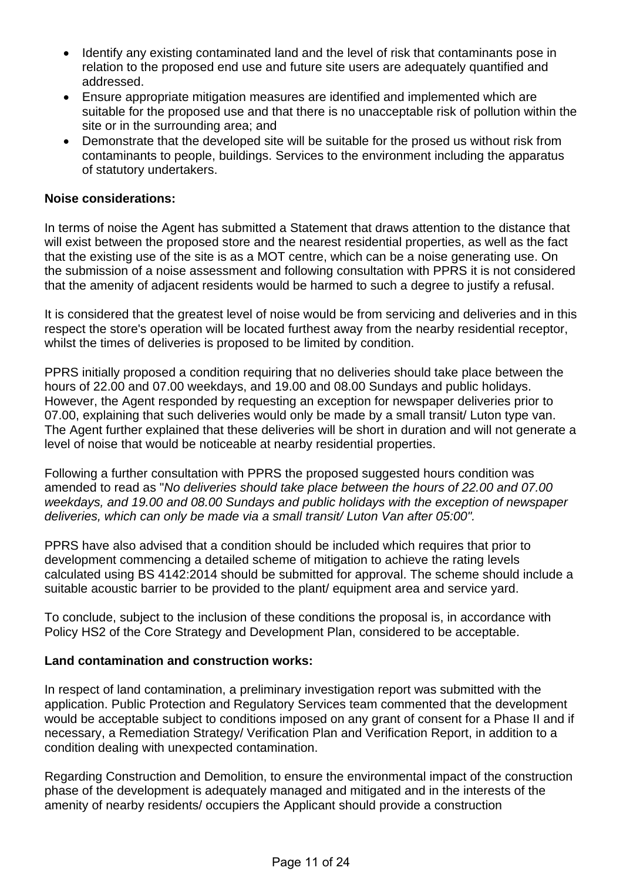- Identify any existing contaminated land and the level of risk that contaminants pose in relation to the proposed end use and future site users are adequately quantified and addressed.
- Ensure appropriate mitigation measures are identified and implemented which are suitable for the proposed use and that there is no unacceptable risk of pollution within the site or in the surrounding area; and
- Demonstrate that the developed site will be suitable for the prosed us without risk from contaminants to people, buildings. Services to the environment including the apparatus of statutory undertakers.

#### **Noise considerations:**

In terms of noise the Agent has submitted a Statement that draws attention to the distance that will exist between the proposed store and the nearest residential properties, as well as the fact that the existing use of the site is as a MOT centre, which can be a noise generating use. On the submission of a noise assessment and following consultation with PPRS it is not considered that the amenity of adjacent residents would be harmed to such a degree to justify a refusal.

It is considered that the greatest level of noise would be from servicing and deliveries and in this respect the store's operation will be located furthest away from the nearby residential receptor, whilst the times of deliveries is proposed to be limited by condition.

PPRS initially proposed a condition requiring that no deliveries should take place between the hours of 22.00 and 07.00 weekdays, and 19.00 and 08.00 Sundays and public holidays. However, the Agent responded by requesting an exception for newspaper deliveries prior to 07.00, explaining that such deliveries would only be made by a small transit/ Luton type van. The Agent further explained that these deliveries will be short in duration and will not generate a level of noise that would be noticeable at nearby residential properties.

Following a further consultation with PPRS the proposed suggested hours condition was amended to read as "*No deliveries should take place between the hours of 22.00 and 07.00 weekdays, and 19.00 and 08.00 Sundays and public holidays with the exception of newspaper deliveries, which can only be made via a small transit/ Luton Van after 05:00".*

PPRS have also advised that a condition should be included which requires that prior to development commencing a detailed scheme of mitigation to achieve the rating levels calculated using BS 4142:2014 should be submitted for approval. The scheme should include a suitable acoustic barrier to be provided to the plant/ equipment area and service yard.

To conclude, subject to the inclusion of these conditions the proposal is, in accordance with Policy HS2 of the Core Strategy and Development Plan, considered to be acceptable.

#### **Land contamination and construction works:**

In respect of land contamination, a preliminary investigation report was submitted with the application. Public Protection and Regulatory Services team commented that the development would be acceptable subject to conditions imposed on any grant of consent for a Phase II and if necessary, a Remediation Strategy/ Verification Plan and Verification Report, in addition to a condition dealing with unexpected contamination.

Regarding Construction and Demolition, to ensure the environmental impact of the construction phase of the development is adequately managed and mitigated and in the interests of the amenity of nearby residents/ occupiers the Applicant should provide a construction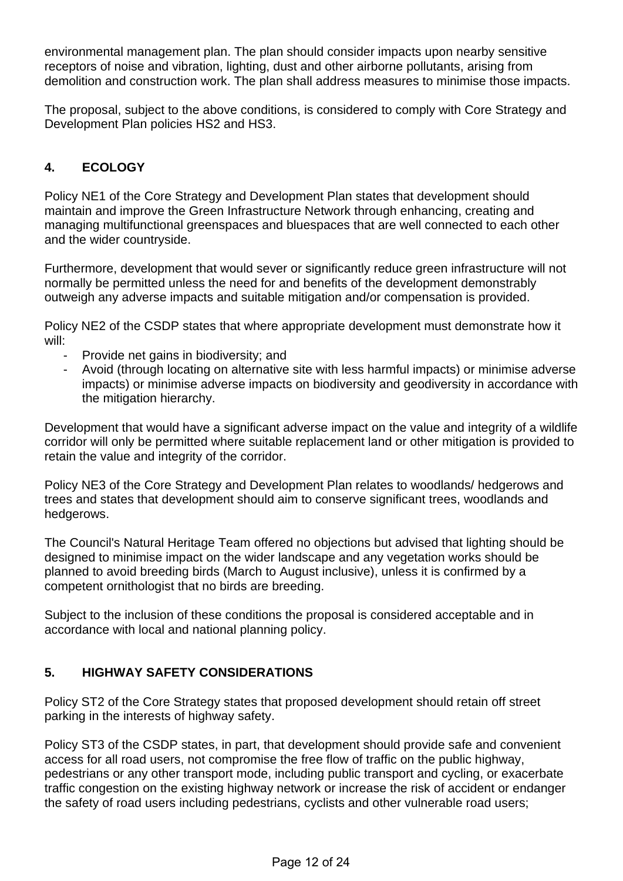environmental management plan. The plan should consider impacts upon nearby sensitive receptors of noise and vibration, lighting, dust and other airborne pollutants, arising from demolition and construction work. The plan shall address measures to minimise those impacts.

The proposal, subject to the above conditions, is considered to comply with Core Strategy and Development Plan policies HS2 and HS3.

## **4. ECOLOGY**

Policy NE1 of the Core Strategy and Development Plan states that development should maintain and improve the Green Infrastructure Network through enhancing, creating and managing multifunctional greenspaces and bluespaces that are well connected to each other and the wider countryside.

Furthermore, development that would sever or significantly reduce green infrastructure will not normally be permitted unless the need for and benefits of the development demonstrably outweigh any adverse impacts and suitable mitigation and/or compensation is provided.

Policy NE2 of the CSDP states that where appropriate development must demonstrate how it will:

- Provide net gains in biodiversity; and
- Avoid (through locating on alternative site with less harmful impacts) or minimise adverse impacts) or minimise adverse impacts on biodiversity and geodiversity in accordance with the mitigation hierarchy.

Development that would have a significant adverse impact on the value and integrity of a wildlife corridor will only be permitted where suitable replacement land or other mitigation is provided to retain the value and integrity of the corridor.

Policy NE3 of the Core Strategy and Development Plan relates to woodlands/ hedgerows and trees and states that development should aim to conserve significant trees, woodlands and hedgerows.

The Council's Natural Heritage Team offered no objections but advised that lighting should be designed to minimise impact on the wider landscape and any vegetation works should be planned to avoid breeding birds (March to August inclusive), unless it is confirmed by a competent ornithologist that no birds are breeding.

Subject to the inclusion of these conditions the proposal is considered acceptable and in accordance with local and national planning policy.

### **5. HIGHWAY SAFETY CONSIDERATIONS**

Policy ST2 of the Core Strategy states that proposed development should retain off street parking in the interests of highway safety.

Policy ST3 of the CSDP states, in part, that development should provide safe and convenient access for all road users, not compromise the free flow of traffic on the public highway, pedestrians or any other transport mode, including public transport and cycling, or exacerbate traffic congestion on the existing highway network or increase the risk of accident or endanger the safety of road users including pedestrians, cyclists and other vulnerable road users;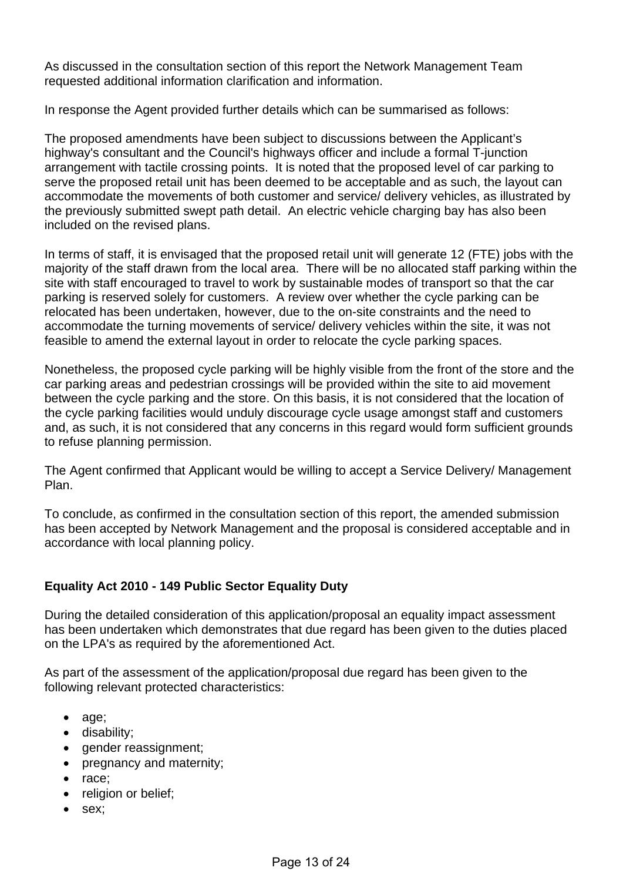As discussed in the consultation section of this report the Network Management Team requested additional information clarification and information.

In response the Agent provided further details which can be summarised as follows:

The proposed amendments have been subject to discussions between the Applicant's highway's consultant and the Council's highways officer and include a formal T-junction arrangement with tactile crossing points. It is noted that the proposed level of car parking to serve the proposed retail unit has been deemed to be acceptable and as such, the layout can accommodate the movements of both customer and service/ delivery vehicles, as illustrated by the previously submitted swept path detail. An electric vehicle charging bay has also been included on the revised plans.

In terms of staff, it is envisaged that the proposed retail unit will generate 12 (FTE) jobs with the majority of the staff drawn from the local area. There will be no allocated staff parking within the site with staff encouraged to travel to work by sustainable modes of transport so that the car parking is reserved solely for customers. A review over whether the cycle parking can be relocated has been undertaken, however, due to the on-site constraints and the need to accommodate the turning movements of service/ delivery vehicles within the site, it was not feasible to amend the external layout in order to relocate the cycle parking spaces.

Nonetheless, the proposed cycle parking will be highly visible from the front of the store and the car parking areas and pedestrian crossings will be provided within the site to aid movement between the cycle parking and the store. On this basis, it is not considered that the location of the cycle parking facilities would unduly discourage cycle usage amongst staff and customers and, as such, it is not considered that any concerns in this regard would form sufficient grounds to refuse planning permission.

The Agent confirmed that Applicant would be willing to accept a Service Delivery/ Management Plan.

To conclude, as confirmed in the consultation section of this report, the amended submission has been accepted by Network Management and the proposal is considered acceptable and in accordance with local planning policy.

### **Equality Act 2010 - 149 Public Sector Equality Duty**

During the detailed consideration of this application/proposal an equality impact assessment has been undertaken which demonstrates that due regard has been given to the duties placed on the LPA's as required by the aforementioned Act.

As part of the assessment of the application/proposal due regard has been given to the following relevant protected characteristics:

- age:
- disability;
- gender reassignment;
- pregnancy and maternity;
- race;
- religion or belief;
- sex;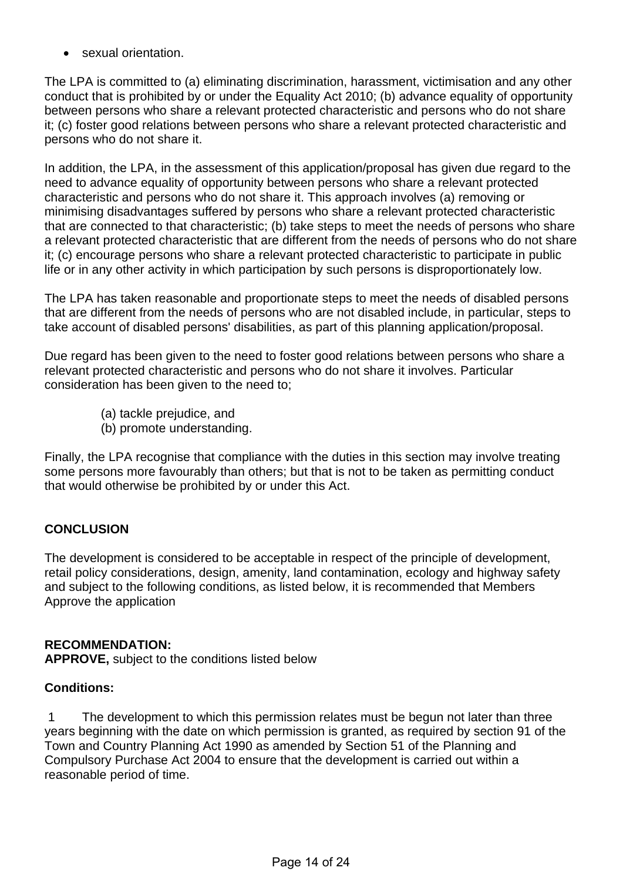sexual orientation.

The LPA is committed to (a) eliminating discrimination, harassment, victimisation and any other conduct that is prohibited by or under the Equality Act 2010; (b) advance equality of opportunity between persons who share a relevant protected characteristic and persons who do not share it; (c) foster good relations between persons who share a relevant protected characteristic and persons who do not share it.

In addition, the LPA, in the assessment of this application/proposal has given due regard to the need to advance equality of opportunity between persons who share a relevant protected characteristic and persons who do not share it. This approach involves (a) removing or minimising disadvantages suffered by persons who share a relevant protected characteristic that are connected to that characteristic; (b) take steps to meet the needs of persons who share a relevant protected characteristic that are different from the needs of persons who do not share it; (c) encourage persons who share a relevant protected characteristic to participate in public life or in any other activity in which participation by such persons is disproportionately low.

The LPA has taken reasonable and proportionate steps to meet the needs of disabled persons that are different from the needs of persons who are not disabled include, in particular, steps to take account of disabled persons' disabilities, as part of this planning application/proposal.

Due regard has been given to the need to foster good relations between persons who share a relevant protected characteristic and persons who do not share it involves. Particular consideration has been given to the need to;

- (a) tackle prejudice, and
- (b) promote understanding.

Finally, the LPA recognise that compliance with the duties in this section may involve treating some persons more favourably than others; but that is not to be taken as permitting conduct that would otherwise be prohibited by or under this Act.

### **CONCLUSION**

The development is considered to be acceptable in respect of the principle of development, retail policy considerations, design, amenity, land contamination, ecology and highway safety and subject to the following conditions, as listed below, it is recommended that Members Approve the application

### **RECOMMENDATION:**

**APPROVE,** subject to the conditions listed below

#### **Conditions:**

 1 The development to which this permission relates must be begun not later than three years beginning with the date on which permission is granted, as required by section 91 of the Town and Country Planning Act 1990 as amended by Section 51 of the Planning and Compulsory Purchase Act 2004 to ensure that the development is carried out within a reasonable period of time.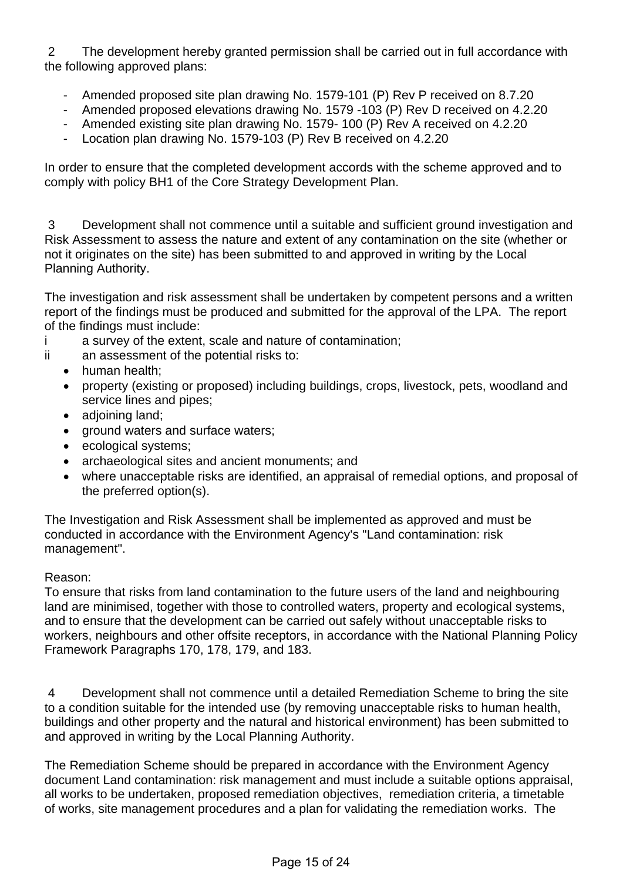2 The development hereby granted permission shall be carried out in full accordance with the following approved plans:

- Amended proposed site plan drawing No. 1579-101 (P) Rev P received on 8.7.20
- Amended proposed elevations drawing No. 1579 -103 (P) Rev D received on 4.2.20
- Amended existing site plan drawing No. 1579- 100 (P) Rev A received on 4.2.20
- Location plan drawing No. 1579-103 (P) Rev B received on 4.2.20

In order to ensure that the completed development accords with the scheme approved and to comply with policy BH1 of the Core Strategy Development Plan.

 3 Development shall not commence until a suitable and sufficient ground investigation and Risk Assessment to assess the nature and extent of any contamination on the site (whether or not it originates on the site) has been submitted to and approved in writing by the Local Planning Authority.

The investigation and risk assessment shall be undertaken by competent persons and a written report of the findings must be produced and submitted for the approval of the LPA. The report of the findings must include:

- i a survey of the extent, scale and nature of contamination;
- ii an assessment of the potential risks to:
	- human health;
	- property (existing or proposed) including buildings, crops, livestock, pets, woodland and service lines and pipes;
	- adjoining land;
	- ground waters and surface waters;
	- ecological systems;
	- archaeological sites and ancient monuments; and
	- where unacceptable risks are identified, an appraisal of remedial options, and proposal of the preferred option(s).

The Investigation and Risk Assessment shall be implemented as approved and must be conducted in accordance with the Environment Agency's "Land contamination: risk management".

### Reason:

To ensure that risks from land contamination to the future users of the land and neighbouring land are minimised, together with those to controlled waters, property and ecological systems, and to ensure that the development can be carried out safely without unacceptable risks to workers, neighbours and other offsite receptors, in accordance with the National Planning Policy Framework Paragraphs 170, 178, 179, and 183.

 4 Development shall not commence until a detailed Remediation Scheme to bring the site to a condition suitable for the intended use (by removing unacceptable risks to human health, buildings and other property and the natural and historical environment) has been submitted to and approved in writing by the Local Planning Authority.

The Remediation Scheme should be prepared in accordance with the Environment Agency document Land contamination: risk management and must include a suitable options appraisal, all works to be undertaken, proposed remediation objectives, remediation criteria, a timetable of works, site management procedures and a plan for validating the remediation works. The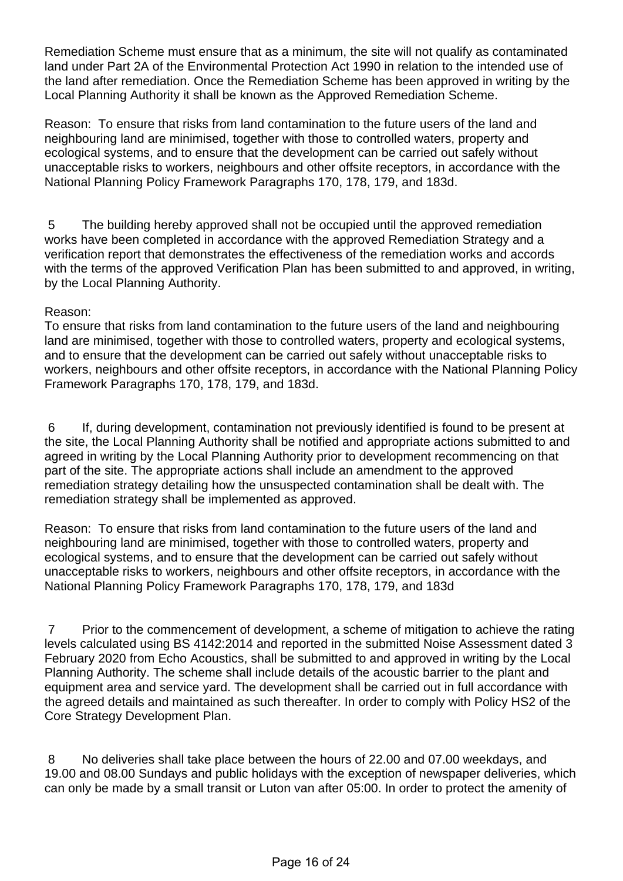Remediation Scheme must ensure that as a minimum, the site will not qualify as contaminated land under Part 2A of the Environmental Protection Act 1990 in relation to the intended use of the land after remediation. Once the Remediation Scheme has been approved in writing by the Local Planning Authority it shall be known as the Approved Remediation Scheme.

Reason: To ensure that risks from land contamination to the future users of the land and neighbouring land are minimised, together with those to controlled waters, property and ecological systems, and to ensure that the development can be carried out safely without unacceptable risks to workers, neighbours and other offsite receptors, in accordance with the National Planning Policy Framework Paragraphs 170, 178, 179, and 183d.

 5 The building hereby approved shall not be occupied until the approved remediation works have been completed in accordance with the approved Remediation Strategy and a verification report that demonstrates the effectiveness of the remediation works and accords with the terms of the approved Verification Plan has been submitted to and approved, in writing, by the Local Planning Authority.

### Reason:

To ensure that risks from land contamination to the future users of the land and neighbouring land are minimised, together with those to controlled waters, property and ecological systems, and to ensure that the development can be carried out safely without unacceptable risks to workers, neighbours and other offsite receptors, in accordance with the National Planning Policy Framework Paragraphs 170, 178, 179, and 183d.

 6 If, during development, contamination not previously identified is found to be present at the site, the Local Planning Authority shall be notified and appropriate actions submitted to and agreed in writing by the Local Planning Authority prior to development recommencing on that part of the site. The appropriate actions shall include an amendment to the approved remediation strategy detailing how the unsuspected contamination shall be dealt with. The remediation strategy shall be implemented as approved.

Reason: To ensure that risks from land contamination to the future users of the land and neighbouring land are minimised, together with those to controlled waters, property and ecological systems, and to ensure that the development can be carried out safely without unacceptable risks to workers, neighbours and other offsite receptors, in accordance with the National Planning Policy Framework Paragraphs 170, 178, 179, and 183d

 7 Prior to the commencement of development, a scheme of mitigation to achieve the rating levels calculated using BS 4142:2014 and reported in the submitted Noise Assessment dated 3 February 2020 from Echo Acoustics, shall be submitted to and approved in writing by the Local Planning Authority. The scheme shall include details of the acoustic barrier to the plant and equipment area and service yard. The development shall be carried out in full accordance with the agreed details and maintained as such thereafter. In order to comply with Policy HS2 of the Core Strategy Development Plan.

 8 No deliveries shall take place between the hours of 22.00 and 07.00 weekdays, and 19.00 and 08.00 Sundays and public holidays with the exception of newspaper deliveries, which can only be made by a small transit or Luton van after 05:00. In order to protect the amenity of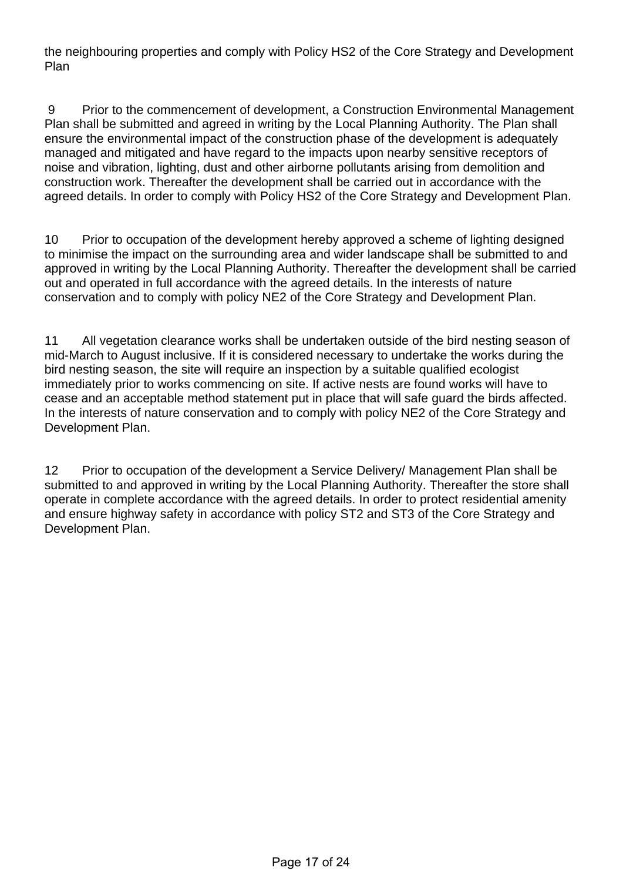the neighbouring properties and comply with Policy HS2 of the Core Strategy and Development Plan

 9 Prior to the commencement of development, a Construction Environmental Management Plan shall be submitted and agreed in writing by the Local Planning Authority. The Plan shall ensure the environmental impact of the construction phase of the development is adequately managed and mitigated and have regard to the impacts upon nearby sensitive receptors of noise and vibration, lighting, dust and other airborne pollutants arising from demolition and construction work. Thereafter the development shall be carried out in accordance with the agreed details. In order to comply with Policy HS2 of the Core Strategy and Development Plan.

10 Prior to occupation of the development hereby approved a scheme of lighting designed to minimise the impact on the surrounding area and wider landscape shall be submitted to and approved in writing by the Local Planning Authority. Thereafter the development shall be carried out and operated in full accordance with the agreed details. In the interests of nature conservation and to comply with policy NE2 of the Core Strategy and Development Plan.

11 All vegetation clearance works shall be undertaken outside of the bird nesting season of mid-March to August inclusive. If it is considered necessary to undertake the works during the bird nesting season, the site will require an inspection by a suitable qualified ecologist immediately prior to works commencing on site. If active nests are found works will have to cease and an acceptable method statement put in place that will safe guard the birds affected. In the interests of nature conservation and to comply with policy NE2 of the Core Strategy and Development Plan.

12 Prior to occupation of the development a Service Delivery/ Management Plan shall be submitted to and approved in writing by the Local Planning Authority. Thereafter the store shall operate in complete accordance with the agreed details. In order to protect residential amenity and ensure highway safety in accordance with policy ST2 and ST3 of the Core Strategy and Development Plan.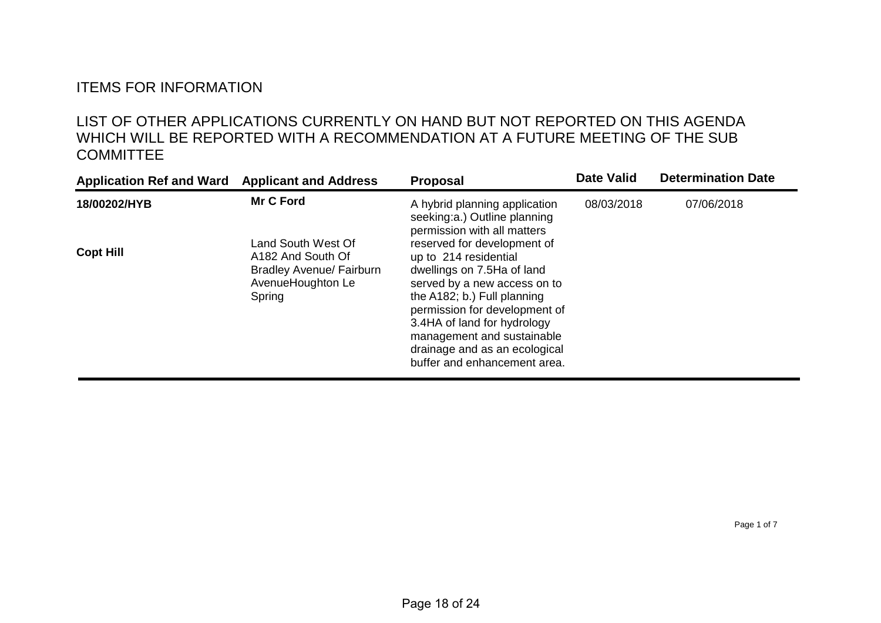## ITEMS FOR INFORMATION

## LIST OF OTHER APPLICATIONS CURRENTLY ON HAND BUT NOT REPORTED ON THIS AGENDA WHICH WILL BE REPORTED WITH A RECOMMENDATION AT A FUTURE MEETING OF THE SUB **COMMITTEE**

| <b>Application Ref and Ward</b> | <b>Applicant and Address</b>                                                                              | <b>Proposal</b>                                                                                                                                                                                                                                                                                                  | <b>Date Valid</b> | <b>Determination Date</b> |
|---------------------------------|-----------------------------------------------------------------------------------------------------------|------------------------------------------------------------------------------------------------------------------------------------------------------------------------------------------------------------------------------------------------------------------------------------------------------------------|-------------------|---------------------------|
| 18/00202/HYB                    | <b>Mr C Ford</b>                                                                                          | A hybrid planning application<br>seeking:a.) Outline planning<br>permission with all matters                                                                                                                                                                                                                     | 08/03/2018        | 07/06/2018                |
| <b>Copt Hill</b>                | Land South West Of<br>A182 And South Of<br><b>Bradley Avenue/ Fairburn</b><br>AvenueHoughton Le<br>Spring | reserved for development of<br>up to 214 residential<br>dwellings on 7.5Ha of land<br>served by a new access on to<br>the A182; b.) Full planning<br>permission for development of<br>3.4HA of land for hydrology<br>management and sustainable<br>drainage and as an ecological<br>buffer and enhancement area. |                   |                           |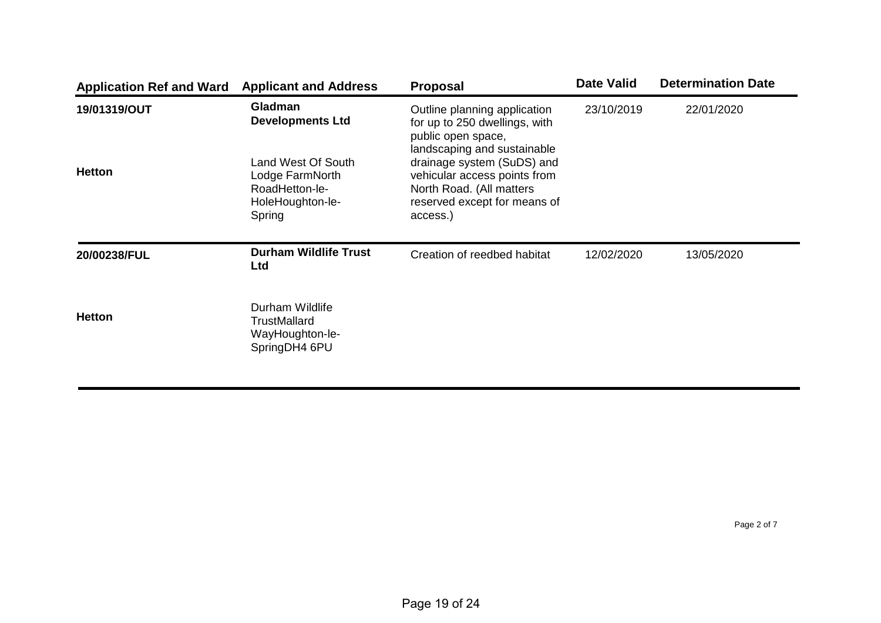| <b>Application Ref and Ward</b> | <b>Applicant and Address</b>                                                          | <b>Proposal</b>                                                                                                                                                   | <b>Date Valid</b> | <b>Determination Date</b> |
|---------------------------------|---------------------------------------------------------------------------------------|-------------------------------------------------------------------------------------------------------------------------------------------------------------------|-------------------|---------------------------|
| 19/01319/OUT                    | Gladman<br><b>Developments Ltd</b>                                                    | Outline planning application<br>for up to 250 dwellings, with<br>public open space,                                                                               | 23/10/2019        | 22/01/2020                |
| <b>Hetton</b>                   | Land West Of South<br>Lodge FarmNorth<br>RoadHetton-le-<br>HoleHoughton-le-<br>Spring | landscaping and sustainable<br>drainage system (SuDS) and<br>vehicular access points from<br>North Road. (All matters<br>reserved except for means of<br>access.) |                   |                           |
| 20/00238/FUL                    | <b>Durham Wildlife Trust</b><br>Ltd                                                   | Creation of reedbed habitat                                                                                                                                       | 12/02/2020        | 13/05/2020                |
| <b>Hetton</b>                   | Durham Wildlife<br><b>TrustMallard</b><br>WayHoughton-le-<br>SpringDH4 6PU            |                                                                                                                                                                   |                   |                           |

Page 2 of 7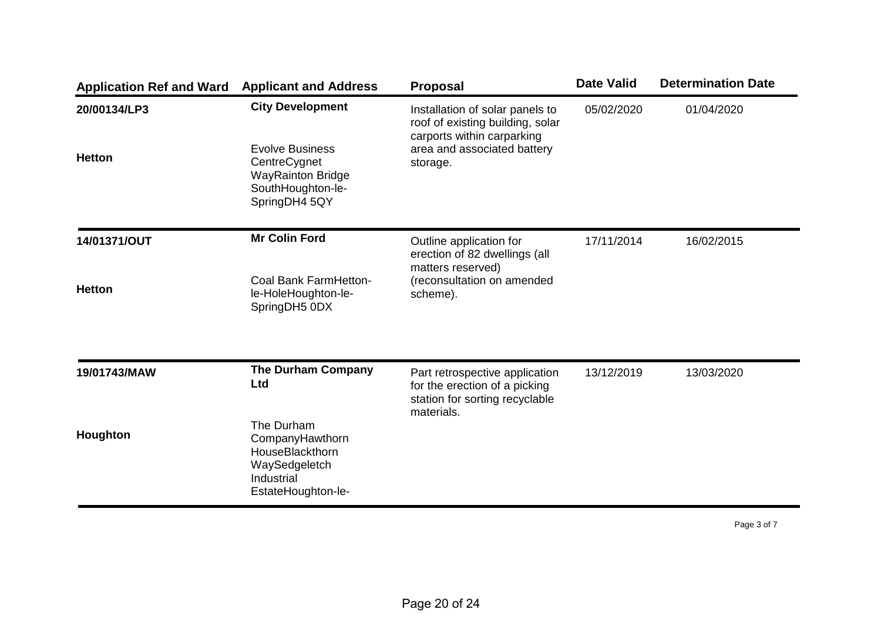| <b>Application Ref and Ward</b> | <b>Applicant and Address</b>                                                                             | <b>Proposal</b>                                                                                                 | <b>Date Valid</b> | <b>Determination Date</b> |
|---------------------------------|----------------------------------------------------------------------------------------------------------|-----------------------------------------------------------------------------------------------------------------|-------------------|---------------------------|
| 20/00134/LP3                    | <b>City Development</b>                                                                                  | Installation of solar panels to<br>roof of existing building, solar<br>carports within carparking               | 05/02/2020        | 01/04/2020                |
| <b>Hetton</b>                   | <b>Evolve Business</b><br>CentreCygnet<br><b>WayRainton Bridge</b><br>SouthHoughton-le-<br>SpringDH4 5QY | area and associated battery<br>storage.                                                                         |                   |                           |
| 14/01371/OUT                    | <b>Mr Colin Ford</b>                                                                                     | Outline application for<br>erection of 82 dwellings (all<br>matters reserved)                                   | 17/11/2014        | 16/02/2015                |
| <b>Hetton</b>                   | Coal Bank FarmHetton-<br>le-HoleHoughton-le-<br>SpringDH5 0DX                                            | (reconsultation on amended<br>scheme).                                                                          |                   |                           |
| 19/01743/MAW                    | The Durham Company<br>Ltd                                                                                | Part retrospective application<br>for the erection of a picking<br>station for sorting recyclable<br>materials. | 13/12/2019        | 13/03/2020                |
| Houghton                        | The Durham<br>CompanyHawthorn<br>HouseBlackthorn<br>WaySedgeletch<br>Industrial<br>EstateHoughton-le-    |                                                                                                                 |                   |                           |

Page 3 of 7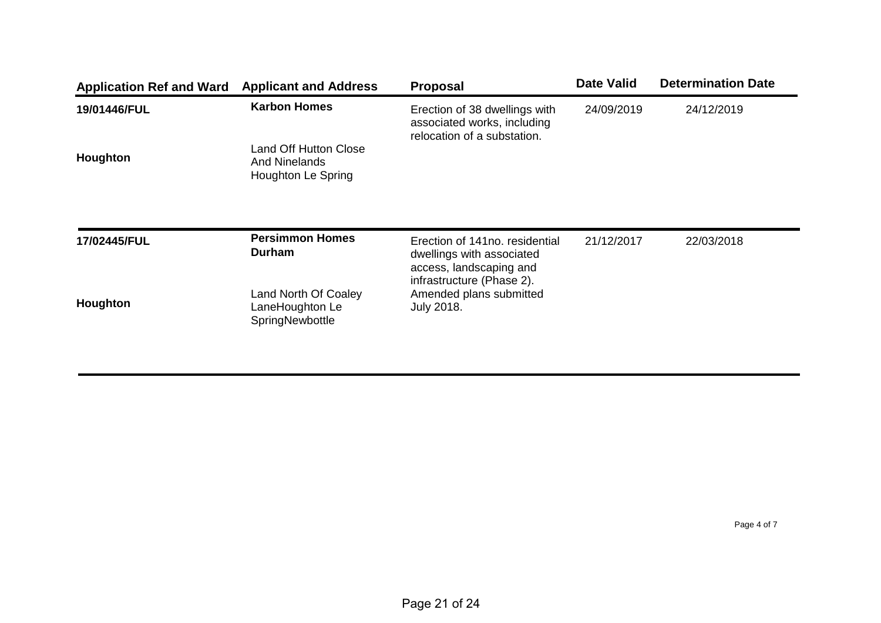| <b>Application Ref and Ward</b> | <b>Applicant and Address</b>                                      | <b>Proposal</b>                                                                             | <b>Date Valid</b> | <b>Determination Date</b> |
|---------------------------------|-------------------------------------------------------------------|---------------------------------------------------------------------------------------------|-------------------|---------------------------|
| 19/01446/FUL                    | <b>Karbon Homes</b>                                               | Erection of 38 dwellings with<br>associated works, including<br>relocation of a substation. | 24/09/2019        | 24/12/2019                |
| Houghton                        | Land Off Hutton Close<br>And Ninelands<br>Houghton Le Spring      |                                                                                             |                   |                           |
| 17/02445/FUL                    | <b>Persimmon Homes</b><br>Durham                                  | Erection of 141no. residential<br>dwellings with associated<br>access, landscaping and      | 21/12/2017        | 22/03/2018                |
| Houghton                        | <b>Land North Of Coaley</b><br>LaneHoughton Le<br>SpringNewbottle | infrastructure (Phase 2).<br>Amended plans submitted<br><b>July 2018.</b>                   |                   |                           |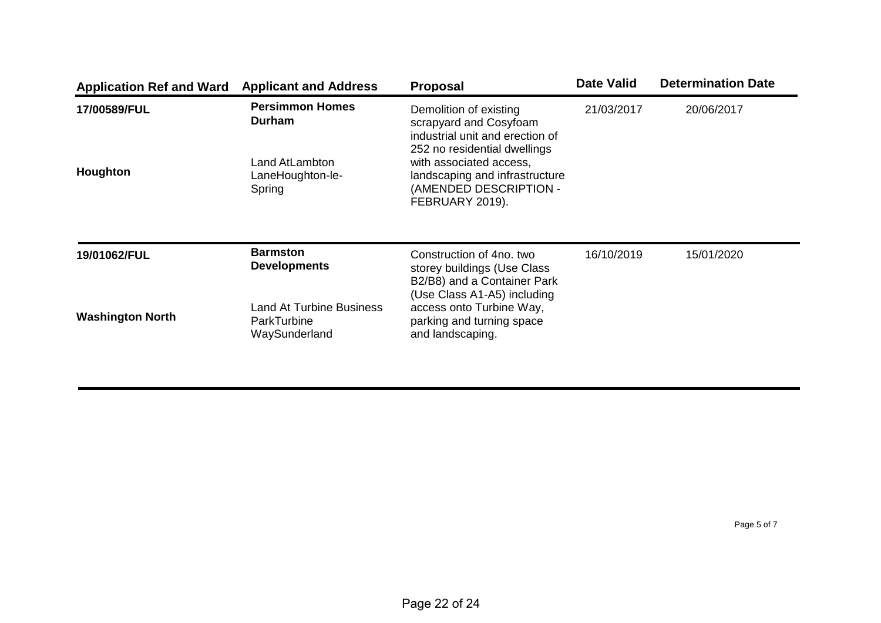| <b>Application Ref and Ward</b> | <b>Applicant and Address</b>                             | <b>Proposal</b>                                                                                                       | <b>Date Valid</b> | <b>Determination Date</b> |
|---------------------------------|----------------------------------------------------------|-----------------------------------------------------------------------------------------------------------------------|-------------------|---------------------------|
| 17/00589/FUL                    | <b>Persimmon Homes</b><br><b>Durham</b>                  | Demolition of existing<br>scrapyard and Cosyfoam<br>industrial unit and erection of<br>252 no residential dwellings   | 21/03/2017        | 20/06/2017                |
| Houghton                        | Land AtLambton<br>LaneHoughton-le-<br>Spring             | with associated access,<br>landscaping and infrastructure<br>(AMENDED DESCRIPTION -<br>FEBRUARY 2019).                |                   |                           |
| 19/01062/FUL                    | <b>Barmston</b><br><b>Developments</b>                   | Construction of 4no. two<br>storey buildings (Use Class<br>B2/B8) and a Container Park<br>(Use Class A1-A5) including | 16/10/2019        | 15/01/2020                |
| <b>Washington North</b>         | Land At Turbine Business<br>ParkTurbine<br>WaySunderland | access onto Turbine Way,<br>parking and turning space<br>and landscaping.                                             |                   |                           |

Page 5 of 7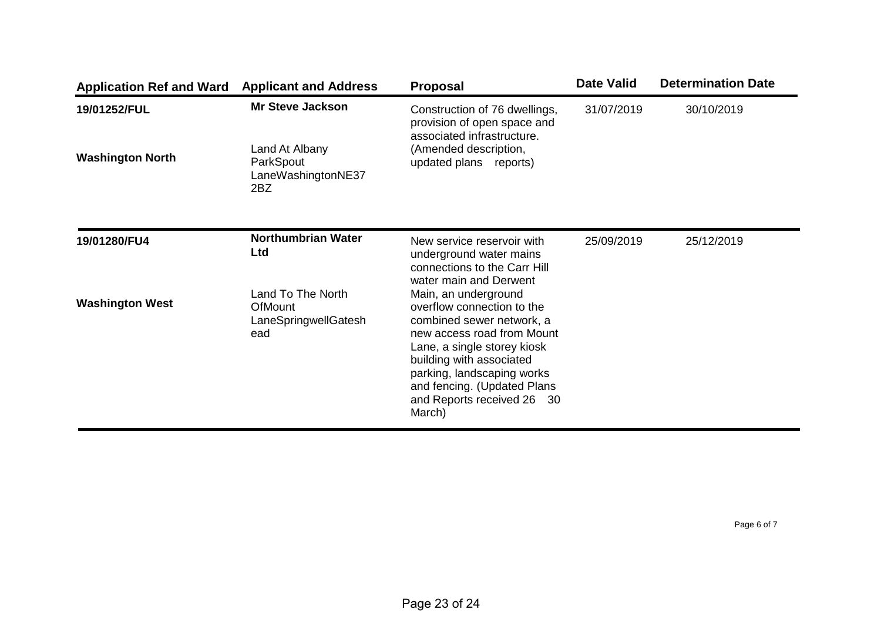| <b>Application Ref and Ward</b>         | <b>Applicant and Address</b>                                                        | <b>Proposal</b>                                                                                                                                                                                                                                                               | <b>Date Valid</b> | <b>Determination Date</b> |
|-----------------------------------------|-------------------------------------------------------------------------------------|-------------------------------------------------------------------------------------------------------------------------------------------------------------------------------------------------------------------------------------------------------------------------------|-------------------|---------------------------|
| 19/01252/FUL<br><b>Washington North</b> | <b>Mr Steve Jackson</b><br>Land At Albany<br>ParkSpout<br>LaneWashingtonNE37<br>2BZ | Construction of 76 dwellings,<br>provision of open space and<br>associated infrastructure.<br>(Amended description,<br>updated plans reports)                                                                                                                                 | 31/07/2019        | 30/10/2019                |
|                                         |                                                                                     |                                                                                                                                                                                                                                                                               |                   |                           |
| 19/01280/FU4                            | Northumbrian Water<br>Ltd                                                           | New service reservoir with<br>underground water mains<br>connections to the Carr Hill<br>water main and Derwent                                                                                                                                                               | 25/09/2019        | 25/12/2019                |
| <b>Washington West</b>                  | Land To The North<br><b>OfMount</b><br>LaneSpringwellGatesh<br>ead                  | Main, an underground<br>overflow connection to the<br>combined sewer network, a<br>new access road from Mount<br>Lane, a single storey kiosk<br>building with associated<br>parking, landscaping works<br>and fencing. (Updated Plans<br>and Reports received 26 30<br>March) |                   |                           |

Page 6 of 7